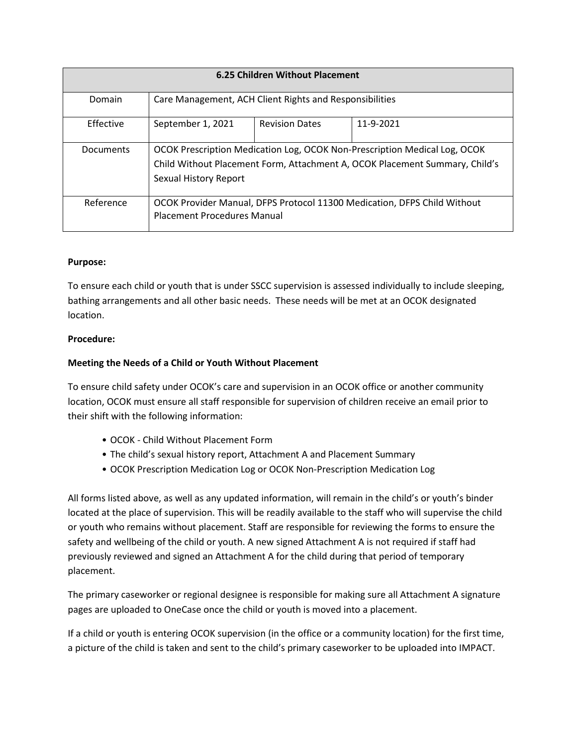| <b>6.25 Children Without Placement</b> |                                                                                                                                                                                   |                       |           |
|----------------------------------------|-----------------------------------------------------------------------------------------------------------------------------------------------------------------------------------|-----------------------|-----------|
| Domain                                 | Care Management, ACH Client Rights and Responsibilities                                                                                                                           |                       |           |
| Effective                              | September 1, 2021                                                                                                                                                                 | <b>Revision Dates</b> | 11-9-2021 |
| Documents                              | OCOK Prescription Medication Log, OCOK Non-Prescription Medical Log, OCOK<br>Child Without Placement Form, Attachment A, OCOK Placement Summary, Child's<br>Sexual History Report |                       |           |
| Reference                              | OCOK Provider Manual, DFPS Protocol 11300 Medication, DFPS Child Without<br><b>Placement Procedures Manual</b>                                                                    |                       |           |

# **Purpose:**

To ensure each child or youth that is under SSCC supervision is assessed individually to include sleeping, bathing arrangements and all other basic needs. These needs will be met at an OCOK designated location.

# **Procedure:**

# **Meeting the Needs of a Child or Youth Without Placement**

To ensure child safety under OCOK's care and supervision in an OCOK office or another community location, OCOK must ensure all staff responsible for supervision of children receive an email prior to their shift with the following information:

- OCOK Child Without Placement Form
- The child's sexual history report, Attachment A and Placement Summary
- OCOK Prescription Medication Log or OCOK Non-Prescription Medication Log

All forms listed above, as well as any updated information, will remain in the child's or youth's binder located at the place of supervision. This will be readily available to the staff who will supervise the child or youth who remains without placement. Staff are responsible for reviewing the forms to ensure the safety and wellbeing of the child or youth. A new signed Attachment A is not required if staff had previously reviewed and signed an Attachment A for the child during that period of temporary placement.

The primary caseworker or regional designee is responsible for making sure all Attachment A signature pages are uploaded to OneCase once the child or youth is moved into a placement.

If a child or youth is entering OCOK supervision (in the office or a community location) for the first time, a picture of the child is taken and sent to the child's primary caseworker to be uploaded into IMPACT.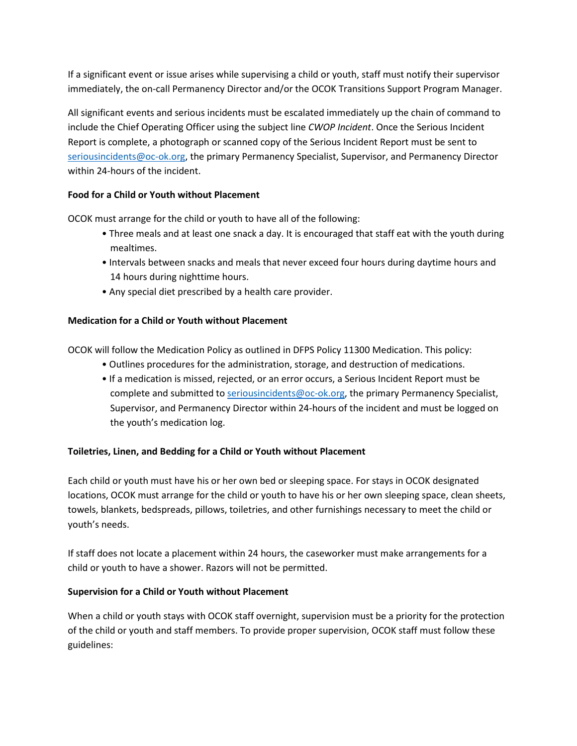If a significant event or issue arises while supervising a child or youth, staff must notify their supervisor immediately, the on-call Permanency Director and/or the OCOK Transitions Support Program Manager.

All significant events and serious incidents must be escalated immediately up the chain of command to include the Chief Operating Officer using the subject line *CWOP Incident*. Once the Serious Incident Report is complete, a photograph or scanned copy of the Serious Incident Report must be sent to [seriousincidents@oc-ok.org,](mailto:seriousincidents@oc-ok.org) the primary Permanency Specialist, Supervisor, and Permanency Director within 24-hours of the incident.

# **Food for a Child or Youth without Placement**

OCOK must arrange for the child or youth to have all of the following:

- Three meals and at least one snack a day. It is encouraged that staff eat with the youth during mealtimes.
- Intervals between snacks and meals that never exceed four hours during daytime hours and 14 hours during nighttime hours.
- Any special diet prescribed by a health care provider.

# **Medication for a Child or Youth without Placement**

OCOK will follow the Medication Policy as outlined in DFPS Policy 11300 Medication. This policy:

- Outlines procedures for the administration, storage, and destruction of medications.
- If a medication is missed, rejected, or an error occurs, a Serious Incident Report must be complete and submitted to [seriousincidents@oc-ok.org,](mailto:seriousincidents@oc-ok.org) the primary Permanency Specialist, Supervisor, and Permanency Director within 24-hours of the incident and must be logged on the youth's medication log.

# **Toiletries, Linen, and Bedding for a Child or Youth without Placement**

Each child or youth must have his or her own bed or sleeping space. For stays in OCOK designated locations, OCOK must arrange for the child or youth to have his or her own sleeping space, clean sheets, towels, blankets, bedspreads, pillows, toiletries, and other furnishings necessary to meet the child or youth's needs.

If staff does not locate a placement within 24 hours, the caseworker must make arrangements for a child or youth to have a shower. Razors will not be permitted.

#### **Supervision for a Child or Youth without Placement**

When a child or youth stays with OCOK staff overnight, supervision must be a priority for the protection of the child or youth and staff members. To provide proper supervision, OCOK staff must follow these guidelines: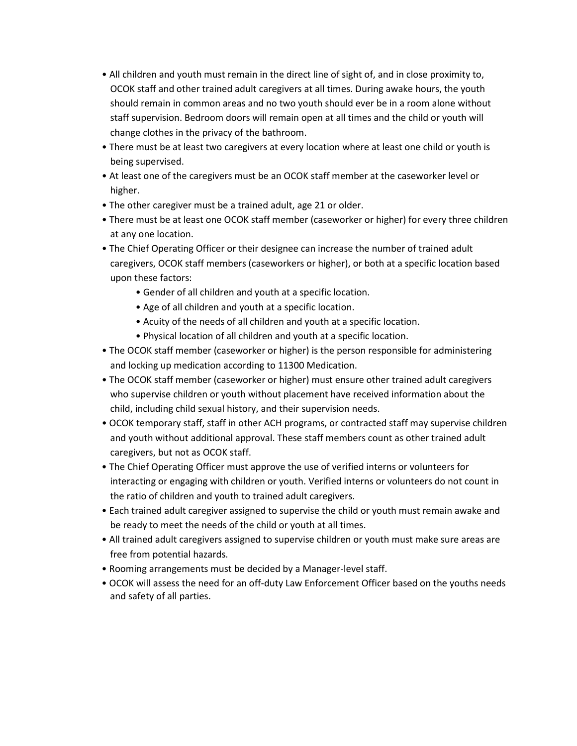- All children and youth must remain in the direct line of sight of, and in close proximity to, OCOK staff and other trained adult caregivers at all times. During awake hours, the youth should remain in common areas and no two youth should ever be in a room alone without staff supervision. Bedroom doors will remain open at all times and the child or youth will change clothes in the privacy of the bathroom.
- There must be at least two caregivers at every location where at least one child or youth is being supervised.
- At least one of the caregivers must be an OCOK staff member at the caseworker level or higher.
- The other caregiver must be a trained adult, age 21 or older.
- There must be at least one OCOK staff member (caseworker or higher) for every three children at any one location.
- The Chief Operating Officer or their designee can increase the number of trained adult caregivers, OCOK staff members (caseworkers or higher), or both at a specific location based upon these factors:
	- Gender of all children and youth at a specific location.
	- Age of all children and youth at a specific location.
	- Acuity of the needs of all children and youth at a specific location.
	- Physical location of all children and youth at a specific location.
- The OCOK staff member (caseworker or higher) is the person responsible for administering and locking up medication according to 11300 Medication.
- The OCOK staff member (caseworker or higher) must ensure other trained adult caregivers who supervise children or youth without placement have received information about the child, including child sexual history, and their supervision needs.
- OCOK temporary staff, staff in other ACH programs, or contracted staff may supervise children and youth without additional approval. These staff members count as other trained adult caregivers, but not as OCOK staff.
- The Chief Operating Officer must approve the use of verified interns or volunteers for interacting or engaging with children or youth. Verified interns or volunteers do not count in the ratio of children and youth to trained adult caregivers.
- Each trained adult caregiver assigned to supervise the child or youth must remain awake and be ready to meet the needs of the child or youth at all times.
- All trained adult caregivers assigned to supervise children or youth must make sure areas are free from potential hazards.
- Rooming arrangements must be decided by a Manager-level staff.
- OCOK will assess the need for an off-duty Law Enforcement Officer based on the youths needs and safety of all parties.